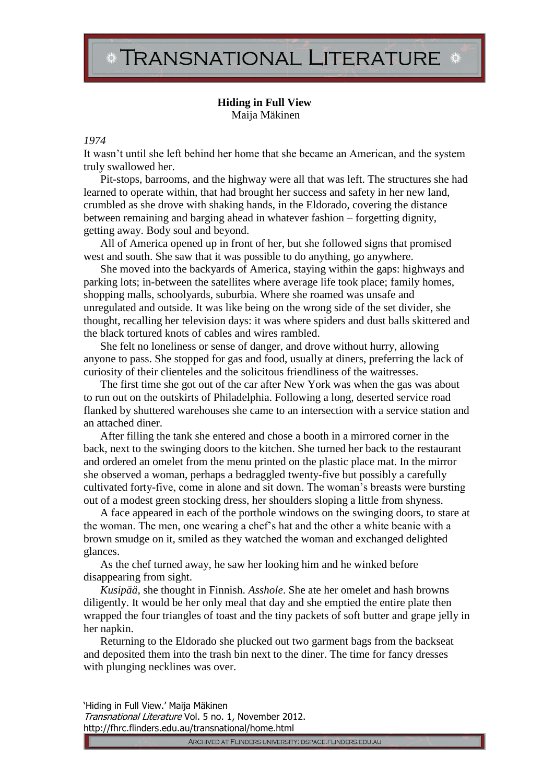## TRANSNATIONAL LITERATURE \*

## **Hiding in Full View** Maija Mäkinen

## *1974*

It wasn't until she left behind her home that she became an American, and the system truly swallowed her.

Pit-stops, barrooms, and the highway were all that was left. The structures she had learned to operate within, that had brought her success and safety in her new land, crumbled as she drove with shaking hands, in the Eldorado, covering the distance between remaining and barging ahead in whatever fashion – forgetting dignity, getting away. Body soul and beyond.

All of America opened up in front of her, but she followed signs that promised west and south. She saw that it was possible to do anything, go anywhere.

She moved into the backyards of America, staying within the gaps: highways and parking lots; in-between the satellites where average life took place; family homes, shopping malls, schoolyards, suburbia. Where she roamed was unsafe and unregulated and outside. It was like being on the wrong side of the set divider, she thought, recalling her television days: it was where spiders and dust balls skittered and the black tortured knots of cables and wires rambled.

She felt no loneliness or sense of danger, and drove without hurry, allowing anyone to pass. She stopped for gas and food, usually at diners, preferring the lack of curiosity of their clienteles and the solicitous friendliness of the waitresses.

The first time she got out of the car after New York was when the gas was about to run out on the outskirts of Philadelphia. Following a long, deserted service road flanked by shuttered warehouses she came to an intersection with a service station and an attached diner.

After filling the tank she entered and chose a booth in a mirrored corner in the back, next to the swinging doors to the kitchen. She turned her back to the restaurant and ordered an omelet from the menu printed on the plastic place mat. In the mirror she observed a woman, perhaps a bedraggled twenty-five but possibly a carefully cultivated forty-five, come in alone and sit down. The woman's breasts were bursting out of a modest green stocking dress, her shoulders sloping a little from shyness.

A face appeared in each of the porthole windows on the swinging doors, to stare at the woman. The men, one wearing a chef's hat and the other a white beanie with a brown smudge on it, smiled as they watched the woman and exchanged delighted glances.

As the chef turned away, he saw her looking him and he winked before disappearing from sight.

*Kusipää*, she thought in Finnish. *Asshole*. She ate her omelet and hash browns diligently. It would be her only meal that day and she emptied the entire plate then wrapped the four triangles of toast and the tiny packets of soft butter and grape jelly in her napkin.

Returning to the Eldorado she plucked out two garment bags from the backseat and deposited them into the trash bin next to the diner. The time for fancy dresses with plunging necklines was over.

'Hiding in Full View.' Maija Mäkinen Transnational Literature Vol. 5 no. 1, November 2012. http://fhrc.flinders.edu.au/transnational/home.html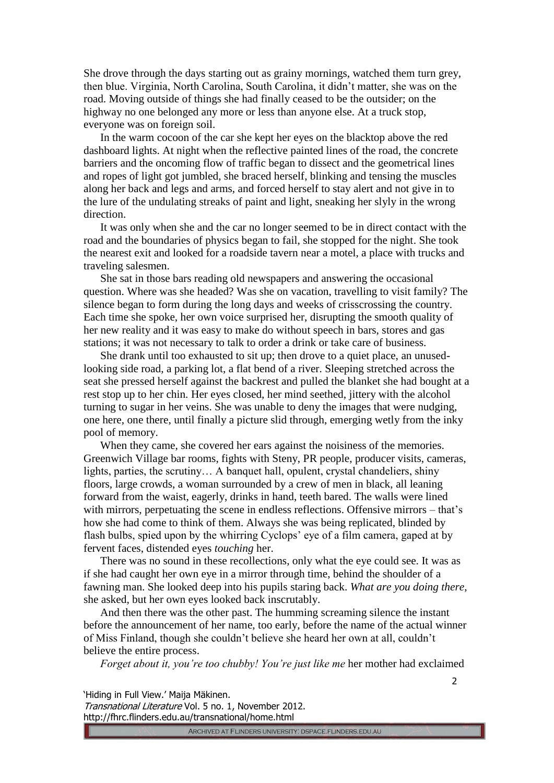She drove through the days starting out as grainy mornings, watched them turn grey, then blue. Virginia, North Carolina, South Carolina, it didn't matter, she was on the road. Moving outside of things she had finally ceased to be the outsider; on the highway no one belonged any more or less than anyone else. At a truck stop, everyone was on foreign soil.

In the warm cocoon of the car she kept her eyes on the blacktop above the red dashboard lights. At night when the reflective painted lines of the road, the concrete barriers and the oncoming flow of traffic began to dissect and the geometrical lines and ropes of light got jumbled, she braced herself, blinking and tensing the muscles along her back and legs and arms, and forced herself to stay alert and not give in to the lure of the undulating streaks of paint and light, sneaking her slyly in the wrong direction.

It was only when she and the car no longer seemed to be in direct contact with the road and the boundaries of physics began to fail, she stopped for the night. She took the nearest exit and looked for a roadside tavern near a motel, a place with trucks and traveling salesmen.

She sat in those bars reading old newspapers and answering the occasional question. Where was she headed? Was she on vacation, travelling to visit family? The silence began to form during the long days and weeks of crisscrossing the country. Each time she spoke, her own voice surprised her, disrupting the smooth quality of her new reality and it was easy to make do without speech in bars, stores and gas stations; it was not necessary to talk to order a drink or take care of business.

She drank until too exhausted to sit up; then drove to a quiet place, an unusedlooking side road, a parking lot, a flat bend of a river. Sleeping stretched across the seat she pressed herself against the backrest and pulled the blanket she had bought at a rest stop up to her chin. Her eyes closed, her mind seethed, jittery with the alcohol turning to sugar in her veins. She was unable to deny the images that were nudging, one here, one there, until finally a picture slid through, emerging wetly from the inky pool of memory.

When they came, she covered her ears against the noisiness of the memories. Greenwich Village bar rooms, fights with Steny, PR people, producer visits, cameras, lights, parties, the scrutiny… A banquet hall, opulent, crystal chandeliers, shiny floors, large crowds, a woman surrounded by a crew of men in black, all leaning forward from the waist, eagerly, drinks in hand, teeth bared. The walls were lined with mirrors, perpetuating the scene in endless reflections. Offensive mirrors – that's how she had come to think of them. Always she was being replicated, blinded by flash bulbs, spied upon by the whirring Cyclops' eye of a film camera, gaped at by fervent faces, distended eyes *touching* her.

There was no sound in these recollections, only what the eye could see. It was as if she had caught her own eye in a mirror through time, behind the shoulder of a fawning man. She looked deep into his pupils staring back. *What are you doing there*, she asked, but her own eyes looked back inscrutably.

And then there was the other past. The humming screaming silence the instant before the announcement of her name, too early, before the name of the actual winner of Miss Finland, though she couldn't believe she heard her own at all, couldn't believe the entire process.

*Forget about it, you're too chubby! You're just like me* her mother had exclaimed

'Hiding in Full View.' Maija Mäkinen.

Transnational Literature Vol. 5 no. 1, November 2012. http://fhrc.flinders.edu.au/transnational/home.html

ARCHIVED AT FLINDERS UNIVERSITY: DSPACE.FLINDERS.EDU.AU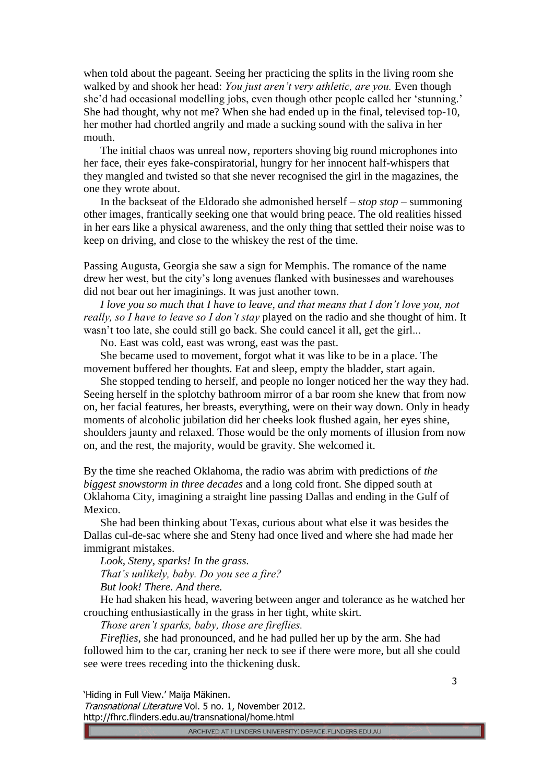when told about the pageant. Seeing her practicing the splits in the living room she walked by and shook her head: *You just aren't very athletic, are you.* Even though she'd had occasional modelling jobs, even though other people called her 'stunning.' She had thought, why not me? When she had ended up in the final, televised top-10, her mother had chortled angrily and made a sucking sound with the saliva in her mouth.

The initial chaos was unreal now, reporters shoving big round microphones into her face, their eyes fake-conspiratorial, hungry for her innocent half-whispers that they mangled and twisted so that she never recognised the girl in the magazines, the one they wrote about.

In the backseat of the Eldorado she admonished herself – *stop stop* – summoning other images, frantically seeking one that would bring peace. The old realities hissed in her ears like a physical awareness, and the only thing that settled their noise was to keep on driving, and close to the whiskey the rest of the time.

Passing Augusta, Georgia she saw a sign for Memphis. The romance of the name drew her west, but the city's long avenues flanked with businesses and warehouses did not bear out her imaginings. It was just another town.

*I love you so much that I have to leave, and that means that I don't love you, not really, so I have to leave so I don't stay* played on the radio and she thought of him. It wasn't too late, she could still go back. She could cancel it all, get the girl...

No. East was cold, east was wrong, east was the past.

She became used to movement, forgot what it was like to be in a place. The movement buffered her thoughts. Eat and sleep, empty the bladder, start again.

She stopped tending to herself, and people no longer noticed her the way they had. Seeing herself in the splotchy bathroom mirror of a bar room she knew that from now on, her facial features, her breasts, everything, were on their way down. Only in heady moments of alcoholic jubilation did her cheeks look flushed again, her eyes shine, shoulders jaunty and relaxed. Those would be the only moments of illusion from now on, and the rest, the majority, would be gravity. She welcomed it.

By the time she reached Oklahoma, the radio was abrim with predictions of *the biggest snowstorm in three decades* and a long cold front. She dipped south at Oklahoma City, imagining a straight line passing Dallas and ending in the Gulf of Mexico.

She had been thinking about Texas, curious about what else it was besides the Dallas cul-de-sac where she and Steny had once lived and where she had made her immigrant mistakes.

*Look, Steny, sparks! In the grass. That's unlikely, baby. Do you see a fire? But look! There. And there.*

He had shaken his head, wavering between anger and tolerance as he watched her crouching enthusiastically in the grass in her tight, white skirt.

*Those aren't sparks, baby, those are fireflies.*

*Fireflies*, she had pronounced, and he had pulled her up by the arm. She had followed him to the car, craning her neck to see if there were more, but all she could see were trees receding into the thickening dusk.

'Hiding in Full View.' Maija Mäkinen.

Transnational Literature Vol. 5 no. 1, November 2012. http://fhrc.flinders.edu.au/transnational/home.html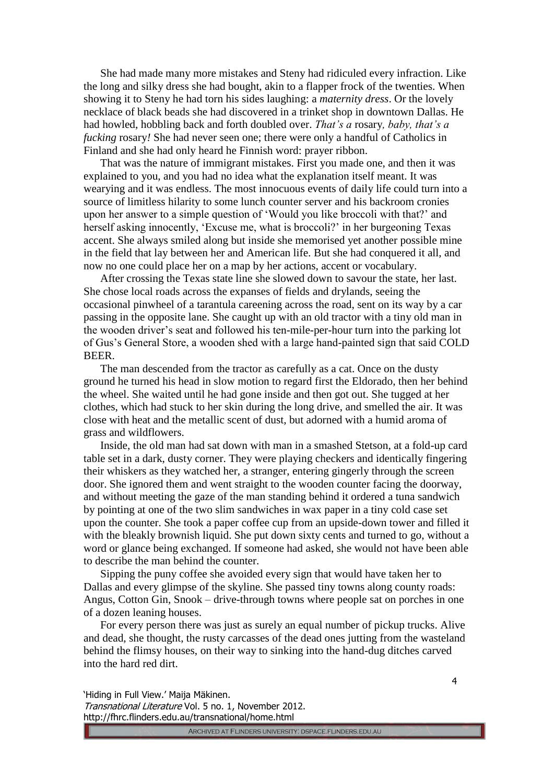She had made many more mistakes and Steny had ridiculed every infraction. Like the long and silky dress she had bought, akin to a flapper frock of the twenties. When showing it to Steny he had torn his sides laughing: a *maternity dress*. Or the lovely necklace of black beads she had discovered in a trinket shop in downtown Dallas. He had howled, hobbling back and forth doubled over. *That's a* rosary*, baby, that's a fucking* rosary*!* She had never seen one; there were only a handful of Catholics in Finland and she had only heard he Finnish word: prayer ribbon.

That was the nature of immigrant mistakes. First you made one, and then it was explained to you, and you had no idea what the explanation itself meant. It was wearying and it was endless. The most innocuous events of daily life could turn into a source of limitless hilarity to some lunch counter server and his backroom cronies upon her answer to a simple question of 'Would you like broccoli with that?' and herself asking innocently, 'Excuse me, what is broccoli?' in her burgeoning Texas accent. She always smiled along but inside she memorised yet another possible mine in the field that lay between her and American life. But she had conquered it all, and now no one could place her on a map by her actions, accent or vocabulary.

After crossing the Texas state line she slowed down to savour the state, her last. She chose local roads across the expanses of fields and drylands, seeing the occasional pinwheel of a tarantula careening across the road, sent on its way by a car passing in the opposite lane. She caught up with an old tractor with a tiny old man in the wooden driver's seat and followed his ten-mile-per-hour turn into the parking lot of Gus's General Store, a wooden shed with a large hand-painted sign that said COLD BEER.

The man descended from the tractor as carefully as a cat. Once on the dusty ground he turned his head in slow motion to regard first the Eldorado, then her behind the wheel. She waited until he had gone inside and then got out. She tugged at her clothes, which had stuck to her skin during the long drive, and smelled the air. It was close with heat and the metallic scent of dust, but adorned with a humid aroma of grass and wildflowers.

Inside, the old man had sat down with man in a smashed Stetson, at a fold-up card table set in a dark, dusty corner. They were playing checkers and identically fingering their whiskers as they watched her, a stranger, entering gingerly through the screen door. She ignored them and went straight to the wooden counter facing the doorway, and without meeting the gaze of the man standing behind it ordered a tuna sandwich by pointing at one of the two slim sandwiches in wax paper in a tiny cold case set upon the counter. She took a paper coffee cup from an upside-down tower and filled it with the bleakly brownish liquid. She put down sixty cents and turned to go, without a word or glance being exchanged. If someone had asked, she would not have been able to describe the man behind the counter.

Sipping the puny coffee she avoided every sign that would have taken her to Dallas and every glimpse of the skyline. She passed tiny towns along county roads: Angus, Cotton Gin, Snook – drive-through towns where people sat on porches in one of a dozen leaning houses.

For every person there was just as surely an equal number of pickup trucks. Alive and dead, she thought, the rusty carcasses of the dead ones jutting from the wasteland behind the flimsy houses, on their way to sinking into the hand-dug ditches carved into the hard red dirt.

'Hiding in Full View.' Maija Mäkinen.

Transnational Literature Vol. 5 no. 1, November 2012. http://fhrc.flinders.edu.au/transnational/home.html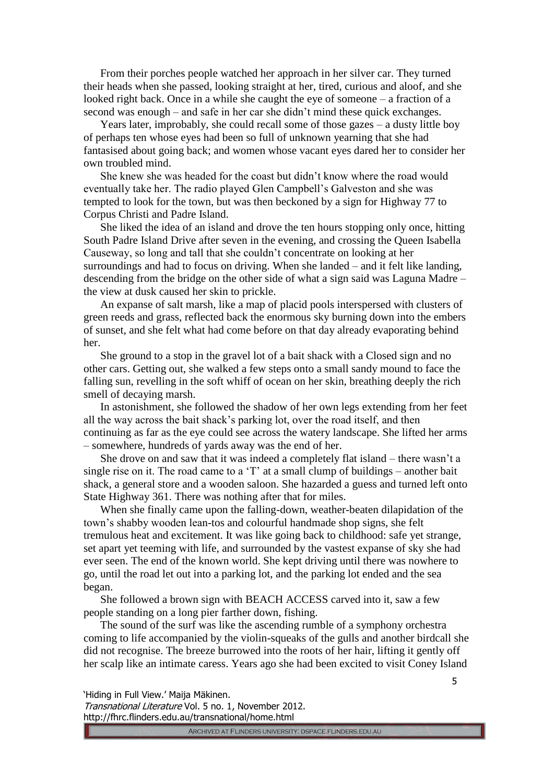From their porches people watched her approach in her silver car. They turned their heads when she passed, looking straight at her, tired, curious and aloof, and she looked right back. Once in a while she caught the eye of someone – a fraction of a second was enough – and safe in her car she didn't mind these quick exchanges.

Years later, improbably, she could recall some of those gazes – a dusty little boy of perhaps ten whose eyes had been so full of unknown yearning that she had fantasised about going back; and women whose vacant eyes dared her to consider her own troubled mind.

She knew she was headed for the coast but didn't know where the road would eventually take her. The radio played Glen Campbell's Galveston and she was tempted to look for the town, but was then beckoned by a sign for Highway 77 to Corpus Christi and Padre Island.

She liked the idea of an island and drove the ten hours stopping only once, hitting South Padre Island Drive after seven in the evening, and crossing the Queen Isabella Causeway, so long and tall that she couldn't concentrate on looking at her surroundings and had to focus on driving. When she landed – and it felt like landing, descending from the bridge on the other side of what a sign said was Laguna Madre – the view at dusk caused her skin to prickle.

An expanse of salt marsh, like a map of placid pools interspersed with clusters of green reeds and grass, reflected back the enormous sky burning down into the embers of sunset, and she felt what had come before on that day already evaporating behind her.

She ground to a stop in the gravel lot of a bait shack with a Closed sign and no other cars. Getting out, she walked a few steps onto a small sandy mound to face the falling sun, revelling in the soft whiff of ocean on her skin, breathing deeply the rich smell of decaying marsh.

In astonishment, she followed the shadow of her own legs extending from her feet all the way across the bait shack's parking lot, over the road itself, and then continuing as far as the eye could see across the watery landscape. She lifted her arms – somewhere, hundreds of yards away was the end of her.

She drove on and saw that it was indeed a completely flat island – there wasn't a single rise on it. The road came to a 'T' at a small clump of buildings – another bait shack, a general store and a wooden saloon. She hazarded a guess and turned left onto State Highway 361. There was nothing after that for miles.

When she finally came upon the falling-down, weather-beaten dilapidation of the town's shabby wooden lean-tos and colourful handmade shop signs, she felt tremulous heat and excitement. It was like going back to childhood: safe yet strange, set apart yet teeming with life, and surrounded by the vastest expanse of sky she had ever seen. The end of the known world. She kept driving until there was nowhere to go, until the road let out into a parking lot, and the parking lot ended and the sea began.

She followed a brown sign with BEACH ACCESS carved into it, saw a few people standing on a long pier farther down, fishing.

The sound of the surf was like the ascending rumble of a symphony orchestra coming to life accompanied by the violin-squeaks of the gulls and another birdcall she did not recognise. The breeze burrowed into the roots of her hair, lifting it gently off her scalp like an intimate caress. Years ago she had been excited to visit Coney Island

'Hiding in Full View.' Maija Mäkinen.

Transnational Literature Vol. 5 no. 1, November 2012. http://fhrc.flinders.edu.au/transnational/home.html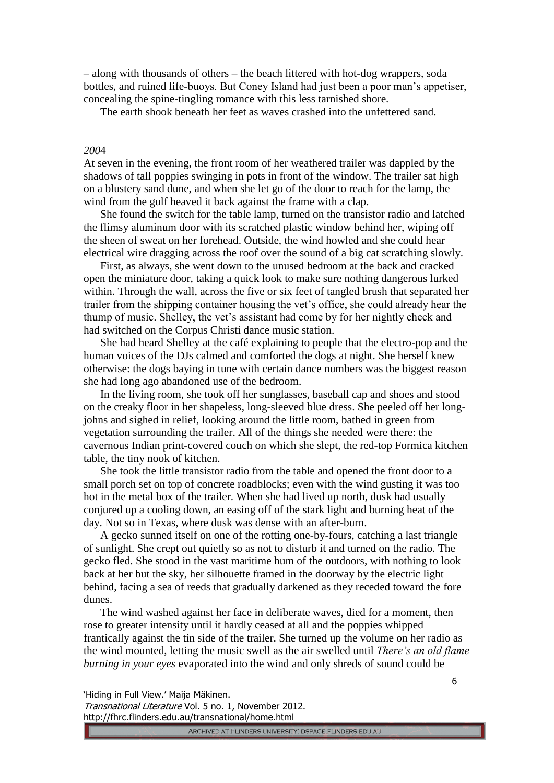– along with thousands of others – the beach littered with hot-dog wrappers, soda bottles, and ruined life-buoys. But Coney Island had just been a poor man's appetiser, concealing the spine-tingling romance with this less tarnished shore.

The earth shook beneath her feet as waves crashed into the unfettered sand.

## *200*4

At seven in the evening, the front room of her weathered trailer was dappled by the shadows of tall poppies swinging in pots in front of the window. The trailer sat high on a blustery sand dune, and when she let go of the door to reach for the lamp, the wind from the gulf heaved it back against the frame with a clap.

She found the switch for the table lamp, turned on the transistor radio and latched the flimsy aluminum door with its scratched plastic window behind her, wiping off the sheen of sweat on her forehead. Outside, the wind howled and she could hear electrical wire dragging across the roof over the sound of a big cat scratching slowly.

First, as always, she went down to the unused bedroom at the back and cracked open the miniature door, taking a quick look to make sure nothing dangerous lurked within. Through the wall, across the five or six feet of tangled brush that separated her trailer from the shipping container housing the vet's office, she could already hear the thump of music. Shelley, the vet's assistant had come by for her nightly check and had switched on the Corpus Christi dance music station.

She had heard Shelley at the café explaining to people that the electro-pop and the human voices of the DJs calmed and comforted the dogs at night. She herself knew otherwise: the dogs baying in tune with certain dance numbers was the biggest reason she had long ago abandoned use of the bedroom.

In the living room, she took off her sunglasses, baseball cap and shoes and stood on the creaky floor in her shapeless, long-sleeved blue dress. She peeled off her longjohns and sighed in relief, looking around the little room, bathed in green from vegetation surrounding the trailer. All of the things she needed were there: the cavernous Indian print-covered couch on which she slept, the red-top Formica kitchen table, the tiny nook of kitchen.

She took the little transistor radio from the table and opened the front door to a small porch set on top of concrete roadblocks; even with the wind gusting it was too hot in the metal box of the trailer. When she had lived up north, dusk had usually conjured up a cooling down, an easing off of the stark light and burning heat of the day. Not so in Texas, where dusk was dense with an after-burn.

A gecko sunned itself on one of the rotting one-by-fours, catching a last triangle of sunlight. She crept out quietly so as not to disturb it and turned on the radio. The gecko fled. She stood in the vast maritime hum of the outdoors, with nothing to look back at her but the sky, her silhouette framed in the doorway by the electric light behind, facing a sea of reeds that gradually darkened as they receded toward the fore dunes.

The wind washed against her face in deliberate waves, died for a moment, then rose to greater intensity until it hardly ceased at all and the poppies whipped frantically against the tin side of the trailer. She turned up the volume on her radio as the wind mounted, letting the music swell as the air swelled until *There's an old flame burning in your eyes* evaporated into the wind and only shreds of sound could be

'Hiding in Full View.' Maija Mäkinen.

Transnational Literature Vol. 5 no. 1, November 2012. http://fhrc.flinders.edu.au/transnational/home.html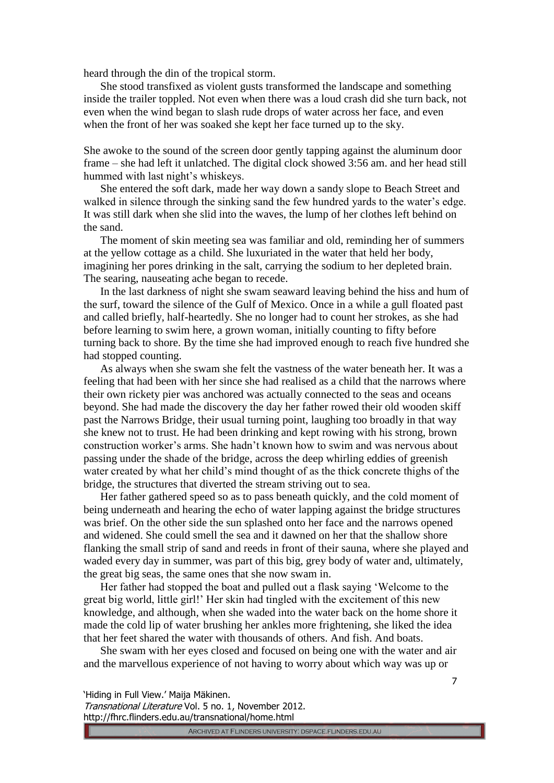heard through the din of the tropical storm.

She stood transfixed as violent gusts transformed the landscape and something inside the trailer toppled. Not even when there was a loud crash did she turn back, not even when the wind began to slash rude drops of water across her face, and even when the front of her was soaked she kept her face turned up to the sky.

She awoke to the sound of the screen door gently tapping against the aluminum door frame – she had left it unlatched. The digital clock showed 3:56 am. and her head still hummed with last night's whiskeys.

She entered the soft dark, made her way down a sandy slope to Beach Street and walked in silence through the sinking sand the few hundred yards to the water's edge. It was still dark when she slid into the waves, the lump of her clothes left behind on the sand.

The moment of skin meeting sea was familiar and old, reminding her of summers at the yellow cottage as a child. She luxuriated in the water that held her body, imagining her pores drinking in the salt, carrying the sodium to her depleted brain. The searing, nauseating ache began to recede.

In the last darkness of night she swam seaward leaving behind the hiss and hum of the surf, toward the silence of the Gulf of Mexico. Once in a while a gull floated past and called briefly, half-heartedly. She no longer had to count her strokes, as she had before learning to swim here, a grown woman, initially counting to fifty before turning back to shore. By the time she had improved enough to reach five hundred she had stopped counting.

As always when she swam she felt the vastness of the water beneath her. It was a feeling that had been with her since she had realised as a child that the narrows where their own rickety pier was anchored was actually connected to the seas and oceans beyond. She had made the discovery the day her father rowed their old wooden skiff past the Narrows Bridge, their usual turning point, laughing too broadly in that way she knew not to trust. He had been drinking and kept rowing with his strong, brown construction worker's arms. She hadn't known how to swim and was nervous about passing under the shade of the bridge, across the deep whirling eddies of greenish water created by what her child's mind thought of as the thick concrete thighs of the bridge, the structures that diverted the stream striving out to sea.

Her father gathered speed so as to pass beneath quickly, and the cold moment of being underneath and hearing the echo of water lapping against the bridge structures was brief. On the other side the sun splashed onto her face and the narrows opened and widened. She could smell the sea and it dawned on her that the shallow shore flanking the small strip of sand and reeds in front of their sauna, where she played and waded every day in summer, was part of this big, grey body of water and, ultimately, the great big seas, the same ones that she now swam in.

Her father had stopped the boat and pulled out a flask saying 'Welcome to the great big world, little girl!' Her skin had tingled with the excitement of this new knowledge, and although, when she waded into the water back on the home shore it made the cold lip of water brushing her ankles more frightening, she liked the idea that her feet shared the water with thousands of others. And fish. And boats.

She swam with her eyes closed and focused on being one with the water and air and the marvellous experience of not having to worry about which way was up or

Transnational Literature Vol. 5 no. 1, November 2012. http://fhrc.flinders.edu.au/transnational/home.html

<sup>&#</sup>x27;Hiding in Full View.' Maija Mäkinen.